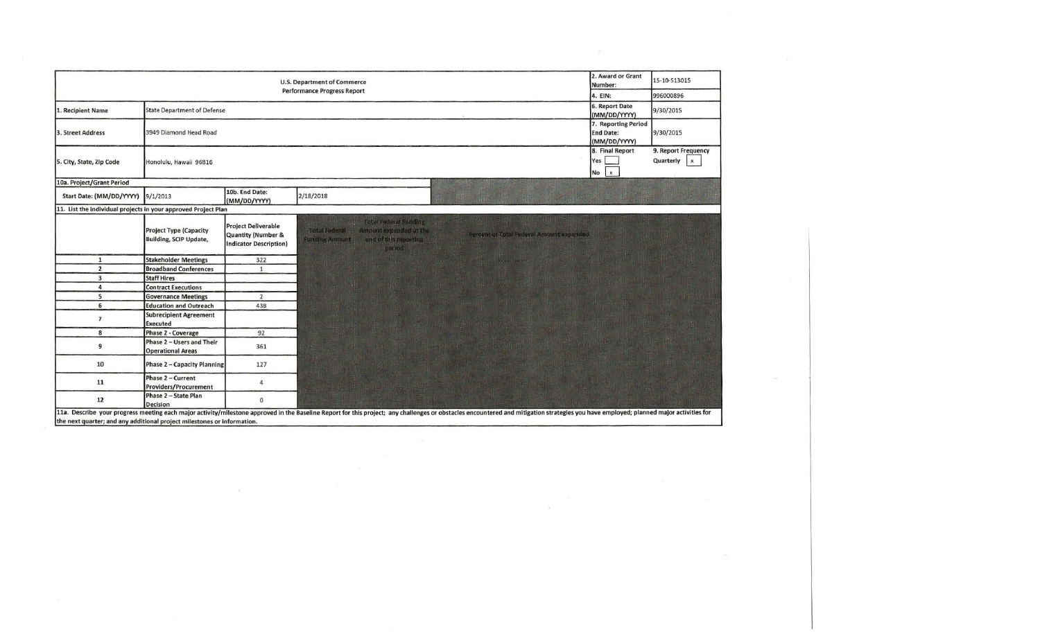| U.S. Department of Commerce<br>Number:<br><b>Performance Progress Report</b> |                                                                |                                                                                              |                                                                                                                                                                                                                                |                                                         | 15-10-S13015                                     |  |
|------------------------------------------------------------------------------|----------------------------------------------------------------|----------------------------------------------------------------------------------------------|--------------------------------------------------------------------------------------------------------------------------------------------------------------------------------------------------------------------------------|---------------------------------------------------------|--------------------------------------------------|--|
|                                                                              | 4. EIN:                                                        | 996000896                                                                                    |                                                                                                                                                                                                                                |                                                         |                                                  |  |
| 1. Recipient Name                                                            | <b>State Department of Defense</b>                             |                                                                                              |                                                                                                                                                                                                                                | 6. Report Date<br>(MM/DD/YYYY)                          | 9/30/2015                                        |  |
| 3. Street Address                                                            | 3949 Diamond Head Road                                         |                                                                                              |                                                                                                                                                                                                                                | 7. Reporting Period<br><b>End Date:</b><br>(MM/DD/YYYY) | 9/30/2015                                        |  |
| 5. City, State, Zip Code                                                     | Honolulu, Hawaii 96816                                         |                                                                                              |                                                                                                                                                                                                                                | 8. Final Report<br>Yes<br>$No$ $x$                      | 9. Report Frequency<br>Quarterly<br>$\mathbf{x}$ |  |
| 10a. Project/Grant Period                                                    |                                                                |                                                                                              |                                                                                                                                                                                                                                |                                                         |                                                  |  |
| Start Date: (MM/DD/YYYY)                                                     | 9/1/2013                                                       | 10b. End Date:<br>(MM/DD/YYYY)                                                               | 2/18/2018                                                                                                                                                                                                                      |                                                         |                                                  |  |
| 11. List the individual projects in your approved Project Plan               |                                                                |                                                                                              |                                                                                                                                                                                                                                |                                                         |                                                  |  |
|                                                                              | <b>Project Type (Capacity</b><br><b>Building, SCIP Update,</b> | <b>Project Deliverable</b><br><b>Quantity (Number &amp;</b><br><b>Indicator Description)</b> | Teletificator al Funding<br><b>Total Federal</b><br>Amount expended at the<br>Percent of Total Federal Amount expended<br>ent of this counties.<br><b>Functing Amount!</b><br>period                                           |                                                         |                                                  |  |
| $\mathbf{1}$                                                                 | <b>Stakeholder Meetings</b>                                    | 322                                                                                          |                                                                                                                                                                                                                                |                                                         |                                                  |  |
| $\overline{2}$                                                               | <b>Broadband Conferences</b>                                   | $\mathbf{1}$                                                                                 |                                                                                                                                                                                                                                |                                                         |                                                  |  |
| 3                                                                            | <b>Staff Hires</b>                                             |                                                                                              |                                                                                                                                                                                                                                |                                                         |                                                  |  |
| 4                                                                            | <b>Contract Executions</b>                                     |                                                                                              |                                                                                                                                                                                                                                |                                                         |                                                  |  |
| 5                                                                            | <b>Governance Meetings</b>                                     | $\overline{2}$                                                                               |                                                                                                                                                                                                                                |                                                         |                                                  |  |
| 6                                                                            | <b>Education and Outreach</b>                                  | 438                                                                                          |                                                                                                                                                                                                                                |                                                         |                                                  |  |
| $\overline{ }$                                                               | <b>Subrecipient Agreement</b><br><b>Executed</b>               |                                                                                              |                                                                                                                                                                                                                                |                                                         |                                                  |  |
| 8                                                                            | Phase 2 - Coverage                                             | 92                                                                                           |                                                                                                                                                                                                                                |                                                         |                                                  |  |
| 9                                                                            | Phase 2 - Users and Their<br><b>Operational Areas</b>          | 361                                                                                          |                                                                                                                                                                                                                                |                                                         |                                                  |  |
| 10                                                                           | Phase 2 - Capacity Planning                                    | 127                                                                                          |                                                                                                                                                                                                                                |                                                         |                                                  |  |
| 11                                                                           | Phase 2 - Current<br>Providers/Procurement                     | 4                                                                                            |                                                                                                                                                                                                                                |                                                         |                                                  |  |
| 12                                                                           | Phase 2 - State Plan<br>Decision                               | $\mathbf 0$                                                                                  | 11a Describe your progress meeting each major astivity/milostope approved in the Baseline Repair of Despine Repair any challenges or obstacles encountered and mitigation strategies you have employed; planned major artiviti |                                                         |                                                  |  |

 $\mathcal{D}$ 

 $\mathcal{A}^{\prime}$  and  $\mathcal{A}^{\prime}$  . The contract of  $\mathcal{A}^{\prime}$ 

11a. Describe your progress meeting each major activity/milestone approved in the Baseline Report for this project; any challenges or obstacles encountered and mitigation strategies you have employed; planned major activit

 $\overline{\mathcal{L}}$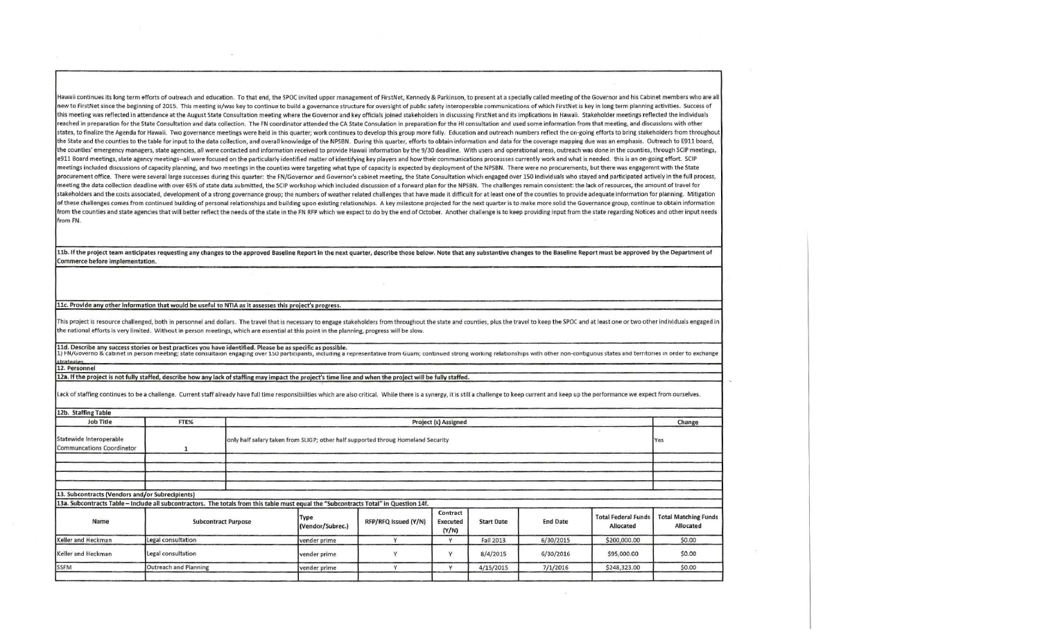Hawaii continues its long term efforts of outreach and education. To that end, the SPOC invited upper management of FirstNet, Kennedy & Parkinson, to present at a specially called meeting of the Governor and his Cabinet me new to FirstNet since the beginning of 2015. This meeting is/was key to continue to build a governance structure for oversight of public safety interoperable communications of which FirstNet is key in long term planning ac this meeting was reflected in attendance at the August State Consultation meeting where the Governor and key officials joined stakeholders in discussing FirstNet and its implications in Hawaii. Stakeholder meetings reflect reached in preparation for the State Consultation and data collection. The FN coordinator attended the CA State Consulation in preparation for the HI consultation and used some information from that meeting, and discussion states, to finalize the Agenda for Hawaii. Two governance meetings were held in this quarter; work continues to develop this group more fully. Education and outreach numbers reflect the on-going efforts to bring stakeholde the State and the counties to the table for input to the data collection, and overall knowledge of the NPSBN. During this quarter, efforts to obtain information and data for the coverage mapping due was an emphasis. Outrea the counties' emergency managers, state agencies, all were contacted and information received to provide Hawaii information by the 9/30 deadline. With users and operational areas, outreach was done in the counties, through e911 Board meetings, state agency meetings--all were focused on the particularly identified matter of identifying key players and how their communications processses currently work and what is needed. this is an on-going e meetings included discussions of capacity planning, and two meetings in the counties were targeting what type of capacity is expected by deployment of the NPSBN. There were no procurements, but there was engagemnt with the procurement office. There were several large successes during this quarter: the FN/Governor and Governor's cabinet meeting, the State Consultation which engaged over 150 individuals who stayed and participated actively in meeting the data collection deadline with over 65% of state data submitted, the SCIP workshop which included discussion of a forward plan for the NPSBN. The challenges remain consistent: the lack of resources, the amount o stakeholders and the costs associated, development of a strong governance group; the numbers of weather related challenges that have made it difficult for at least one of the counties to provide adequate information for pl of these challenges comes from continued building of personal relationships and building upon existing relationships. A key milestone projected for the next quarter is to make more solid the Governance group, continue to o from the counties and state agencies that will better reflect the needs of the state in the FN RFP which we expect to do by the end of October. Another challenge is to keep providing input from the state regarding Notices from FN.

11b. If the project team anticipates requesting any changes to the approved Baseline Report in the next quarter, describe those below. Note that any substantive changes to the Baseline Report must be approved by the Depart Commerce before implementation.

11c. Provide any other information that would be useful to NTIA as it assesses this project's progress.

This project is resource challenged, both in personnel and dollars. The travel that is necessary to engage stakeholders from throughout the state and counties, plus the travel to keep the SPOC and at least one or two other the national efforts is very limited. Without in person meetings, which are essential at this point in the planning, progress will be slow.

11d. Describe any success stories or best practices you have identified. Please be as specific as possible.<br>1) FN/Governo & cabinet in person meeting; state consultaion engaging over 150 participants, including a represent trategies

12. Personnel

12a. If the project is not fully staffed, describe how any lack of staffing may impact the project's time line and when the project will be fully staffed.

Lack of staffing continues to be a challenge. Current staff already have full time responsibilities which are also critical. While there is a synergy, it is still a challenge to keep current and keep up the performance we

| 12b. Staffing Table                                                                                                                   |                       |                            |                                                                                                |                      |                               |                   |                 |                                         |                                          |
|---------------------------------------------------------------------------------------------------------------------------------------|-----------------------|----------------------------|------------------------------------------------------------------------------------------------|----------------------|-------------------------------|-------------------|-----------------|-----------------------------------------|------------------------------------------|
| <b>Job Title</b>                                                                                                                      | FTE%                  |                            | Project (s) Assigned                                                                           |                      |                               |                   |                 |                                         | Change                                   |
| Statewide Interoperable<br>Communcations Coordinator                                                                                  |                       |                            | only half salary taken from SLIGP; other half supported throug Homeland Security<br><b>Yes</b> |                      |                               |                   |                 |                                         |                                          |
|                                                                                                                                       |                       |                            |                                                                                                |                      |                               |                   |                 |                                         |                                          |
| 13. Subcontracts (Vendors and/or Subrecipients)                                                                                       |                       |                            |                                                                                                |                      |                               |                   |                 |                                         |                                          |
| 13a. Subcontracts Table - Include all subcontractors. The totals from this table must equal the "Subcontracts Total" in Question 14f. |                       |                            |                                                                                                |                      |                               |                   |                 |                                         |                                          |
| Name                                                                                                                                  |                       | <b>Subcontract Purpose</b> | Type<br>(Vendor/Subrec.)                                                                       | RFP/RFQ Issued (Y/N) | Contract<br>Executed<br>(Y/N) | <b>Start Date</b> | <b>End Date</b> | <b>Total Federal Funds</b><br>Allocated | <b>Total Matching Funds</b><br>Allocated |
| Keller and Heckman                                                                                                                    | Legal consultation    |                            | vender prime                                                                                   |                      | Y                             | Fall 2013         | 6/30/2015       | \$200,000.00                            | \$0.00                                   |
| Keller and Heckman                                                                                                                    | Legal consultation    |                            | vender prime                                                                                   |                      | $\mathbf{v}$                  | 8/4/2015          | 6/30/2016       | \$95,000.00                             | \$0.00                                   |
| <b>SSFM</b>                                                                                                                           | Outreach and Planning |                            | vender prime                                                                                   |                      | $\checkmark$                  | 4/15/2015         | 7/1/2016        | \$248,323.00                            | \$0.00                                   |
|                                                                                                                                       |                       |                            |                                                                                                |                      |                               |                   |                 |                                         |                                          |